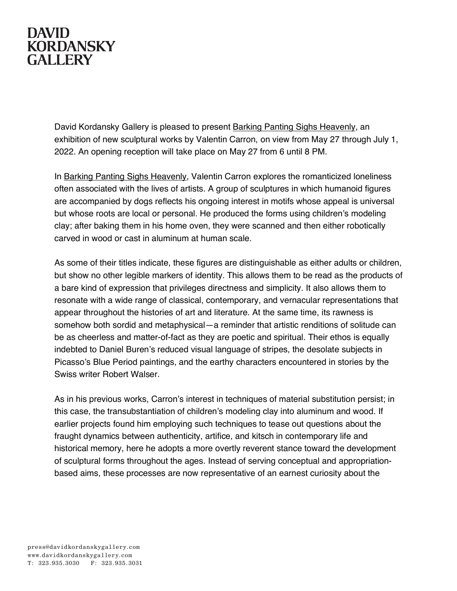## **DAVID KORDANSKY GALLERY**

David Kordansky Gallery is pleased to present Barking Panting Sighs Heavenly, an exhibition of new sculptural works by Valentin Carron, on view from May 27 through July 1, 2022. An opening reception will take place on May 27 from 6 until 8 PM.

In Barking Panting Sighs Heavenly, Valentin Carron explores the romanticized loneliness often associated with the lives of artists. A group of sculptures in which humanoid figures are accompanied by dogs reflects his ongoing interest in motifs whose appeal is universal but whose roots are local or personal. He produced the forms using children's modeling clay; after baking them in his home oven, they were scanned and then either robotically carved in wood or cast in aluminum at human scale.

As some of their titles indicate, these figures are distinguishable as either adults or children, but show no other legible markers of identity. This allows them to be read as the products of a bare kind of expression that privileges directness and simplicity. It also allows them to resonate with a wide range of classical, contemporary, and vernacular representations that appear throughout the histories of art and literature. At the same time, its rawness is somehow both sordid and metaphysical—a reminder that artistic renditions of solitude can be as cheerless and matter-of-fact as they are poetic and spiritual. Their ethos is equally indebted to Daniel Buren's reduced visual language of stripes, the desolate subjects in Picasso's Blue Period paintings, and the earthy characters encountered in stories by the Swiss writer Robert Walser.

As in his previous works, Carron's interest in techniques of material substitution persist; in this case, the transubstantiation of children's modeling clay into aluminum and wood. If earlier projects found him employing such techniques to tease out questions about the fraught dynamics between authenticity, artifice, and kitsch in contemporary life and historical memory, here he adopts a more overtly reverent stance toward the development of sculptural forms throughout the ages. Instead of serving conceptual and appropriationbased aims, these processes are now representative of an earnest curiosity about the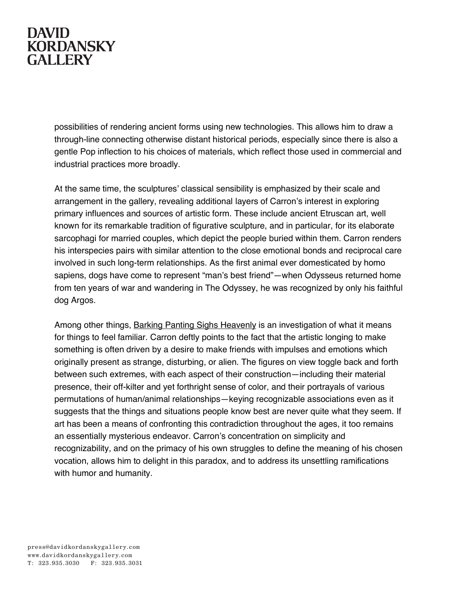## **DAVID KORDANSKY GALLERY**

possibilities of rendering ancient forms using new technologies. This allows him to draw a through-line connecting otherwise distant historical periods, especially since there is also a gentle Pop inflection to his choices of materials, which reflect those used in commercial and industrial practices more broadly.

At the same time, the sculptures' classical sensibility is emphasized by their scale and arrangement in the gallery, revealing additional layers of Carron's interest in exploring primary influences and sources of artistic form. These include ancient Etruscan art, well known for its remarkable tradition of figurative sculpture, and in particular, for its elaborate sarcophagi for married couples, which depict the people buried within them. Carron renders his interspecies pairs with similar attention to the close emotional bonds and reciprocal care involved in such long-term relationships. As the first animal ever domesticated by homo sapiens, dogs have come to represent "man's best friend"—when Odysseus returned home from ten years of war and wandering in The Odyssey, he was recognized by only his faithful dog Argos.

Among other things, Barking Panting Sighs Heavenly is an investigation of what it means for things to feel familiar. Carron deftly points to the fact that the artistic longing to make something is often driven by a desire to make friends with impulses and emotions which originally present as strange, disturbing, or alien. The figures on view toggle back and forth between such extremes, with each aspect of their construction—including their material presence, their off-kilter and yet forthright sense of color, and their portrayals of various permutations of human/animal relationships—keying recognizable associations even as it suggests that the things and situations people know best are never quite what they seem. If art has been a means of confronting this contradiction throughout the ages, it too remains an essentially mysterious endeavor. Carron's concentration on simplicity and recognizability, and on the primacy of his own struggles to define the meaning of his chosen vocation, allows him to delight in this paradox, and to address its unsettling ramifications with humor and humanity.